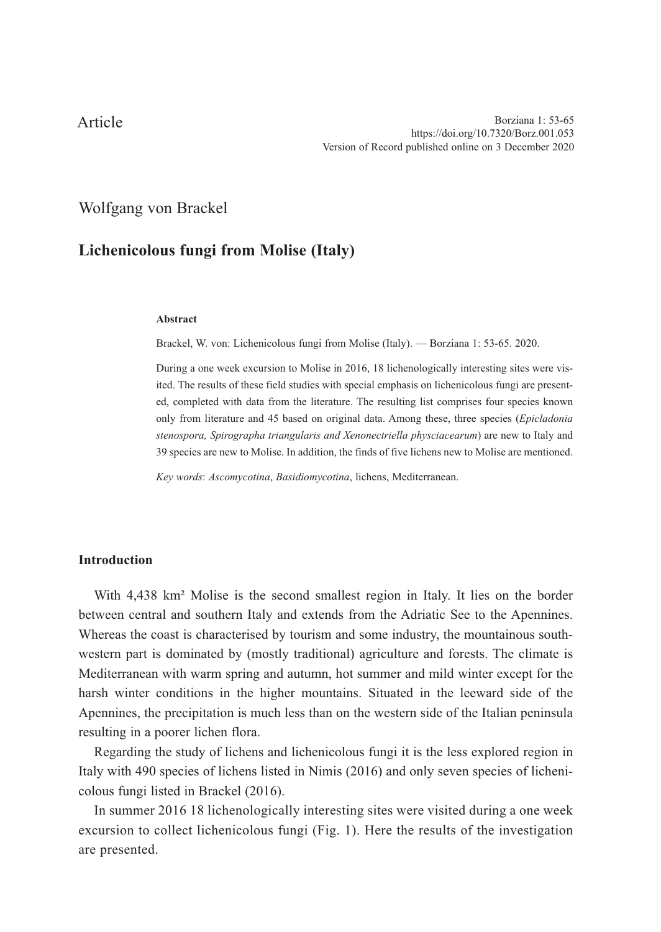# Article

## Wolfgang von Brackel

# **Lichenicolous fungi from Molise (Italy)**

#### **Abstract**

Brackel, W. von: Lichenicolous fungi from Molise (Italy). — Borziana 1: 53-65. 2020.

During a one week excursion to Molise in 2016, 18 lichenologically interesting sites were visited. The results of these field studies with special emphasis on lichenicolous fungi are presented, completed with data from the literature. The resulting list comprises four species known only from literature and 45 based on original data. Among these, three species (*Epicladonia stenospora, Spirographa triangularis and Xenonectriella physciacearum*) are new to Italy and 39 species are new to Molise. In addition, the finds of five lichens new to Molise are mentioned.

*Key words*: *Ascomycotina*, *Basidiomycotina*, lichens, Mediterranean.

#### **Introduction**

With 4,438 km² Molise is the second smallest region in Italy. It lies on the border between central and southern Italy and extends from the Adriatic See to the Apennines. Whereas the coast is characterised by tourism and some industry, the mountainous southwestern part is dominated by (mostly traditional) agriculture and forests. The climate is Mediterranean with warm spring and autumn, hot summer and mild winter except for the harsh winter conditions in the higher mountains. Situated in the leeward side of the Apennines, the precipitation is much less than on the western side of the Italian peninsula resulting in a poorer lichen flora.

Regarding the study of lichens and lichenicolous fungi it is the less explored region in Italy with 490 species of lichens listed in Nimis (2016) and only seven species of lichenicolous fungi listed in Brackel (2016).

In summer 2016 18 lichenologically interesting sites were visited during a one week excursion to collect lichenicolous fungi (Fig. 1). Here the results of the investigation are presented.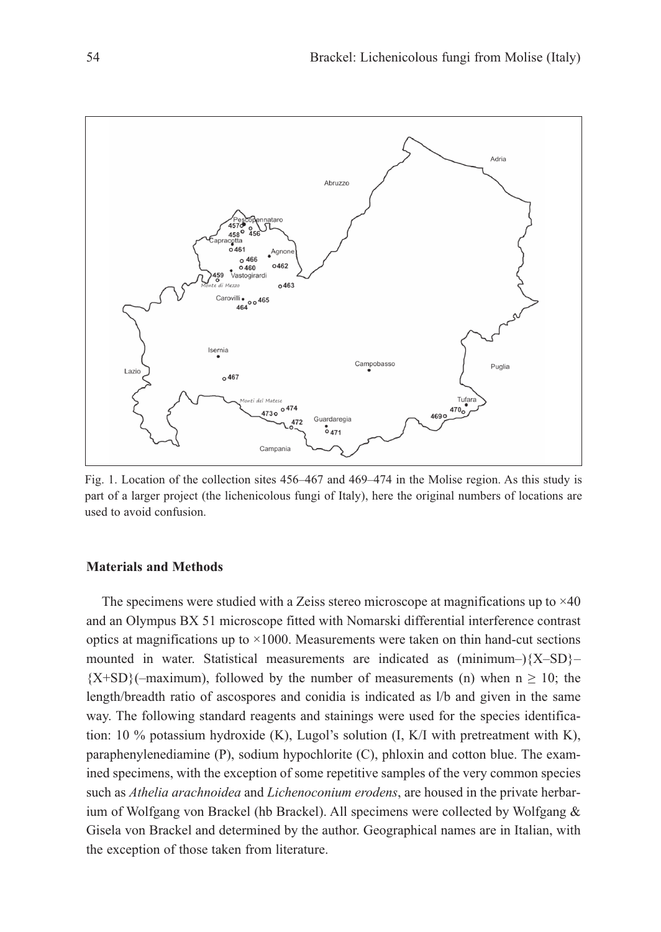

Fig. 1. Location of the collection sites 456–467 and 469–474 in the Molise region. As this study is part of a larger project (the lichenicolous fungi of Italy), here the original numbers of locations are used to avoid confusion.

#### **Materials and Methods**

The specimens were studied with a Zeiss stereo microscope at magnifications up to  $\times$ 40 and an Olympus BX 51 microscope fitted with Nomarski differential interference contrast optics at magnifications up to  $\times$ 1000. Measurements were taken on thin hand-cut sections mounted in water. Statistical measurements are indicated as  $(\text{minimum} - )\{X - SD\}$  ${X+SD}$  (–maximum), followed by the number of measurements (n) when  $n \ge 10$ ; the length/breadth ratio of ascospores and conidia is indicated as l/b and given in the same way. The following standard reagents and stainings were used for the species identification: 10  $\%$  potassium hydroxide (K), Lugol's solution (I, K/I with pretreatment with K), paraphenylenediamine (P), sodium hypochlorite (C), phloxin and cotton blue. The examined specimens, with the exception of some repetitive samples of the very common species such as *Athelia arachnoidea* and *Lichenoconium erodens*, are housed in the private herbarium of Wolfgang von Brackel (hb Brackel). All specimens were collected by Wolfgang & Gisela von Brackel and determined by the author. Geographical names are in Italian, with the exception of those taken from literature.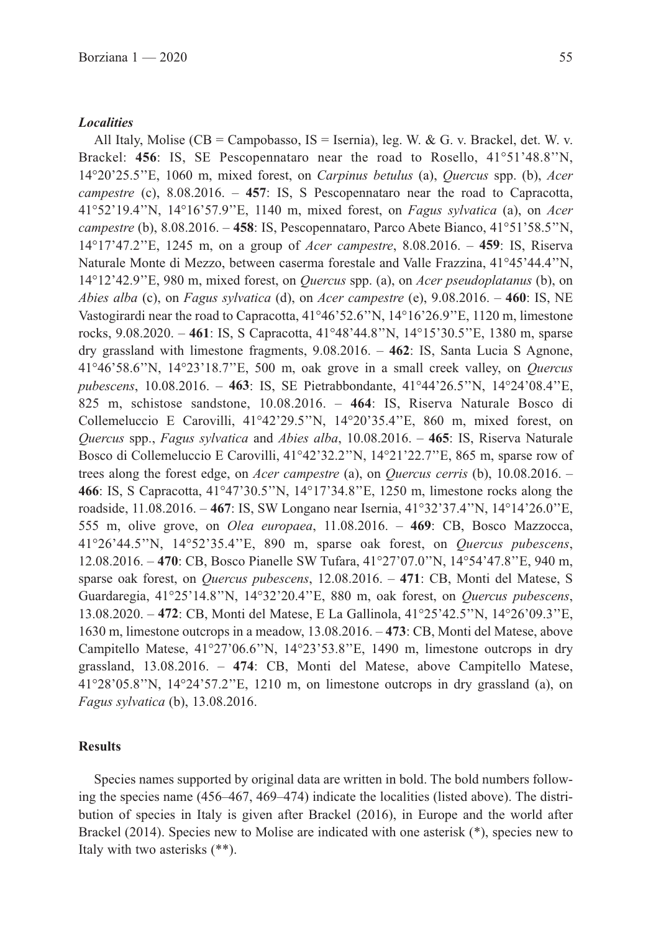All Italy, Molise (CB = Campobasso,  $IS = Isernia$ ), leg. W. & G. v. Brackel, det. W. v. Brackel: **456**: IS, SE Pescopennataro near the road to Rosello, 41°51'48.8''N,

14°20'25.5''E, 1060 m, mixed forest, on *Carpinus betulus* (a), *Quercus* spp. (b), *Acer campestre* (c), 8.08.2016. – **457**: IS, S Pescopennataro near the road to Capracotta, 41°52'19.4''N, 14°16'57.9''E, 1140 m, mixed forest, on *Fagus sylvatica* (a), on *Acer campestre* (b), 8.08.2016. – **458**: IS, Pescopennataro, Parco Abete Bianco, 41°51'58.5''N, 14°17'47.2''E, 1245 m, on a group of *Acer campestre*, 8.08.2016. – **459**: IS, Riserva Naturale Monte di Mezzo, between caserma forestale and Valle Frazzina, 41°45'44.4''N, 14°12'42.9''E, 980 m, mixed forest, on *Quercus* spp. (a), on *Acer pseudoplatanus* (b), on *Abies alba* (c), on *Fagus sylvatica* (d), on *Acer campestre* (e), 9.08.2016. – **460**: IS, NE Vastogirardi near the road to Capracotta, 41°46'52.6''N, 14°16'26.9''E, 1120 m, limestone rocks, 9.08.2020. – **461**: IS, S Capracotta, 41°48'44.8''N, 14°15'30.5''E, 1380 m, sparse dry grassland with limestone fragments, 9.08.2016. – **462**: IS, Santa Lucia S Agnone, 41°46'58.6''N, 14°23'18.7''E, 500 m, oak grove in a small creek valley, on *Quercus pubescens*, 10.08.2016. – **463**: IS, SE Pietrabbondante, 41°44'26.5''N, 14°24'08.4''E, 825 m, schistose sandstone, 10.08.2016. – **464**: IS, Riserva Naturale Bosco di Collemeluccio E Carovilli, 41°42'29.5''N, 14°20'35.4''E, 860 m, mixed forest, on *Quercus* spp., *Fagus sylvatica* and *Abies alba*, 10.08.2016. – **465**: IS, Riserva Naturale Bosco di Collemeluccio E Carovilli, 41°42'32.2''N, 14°21'22.7''E, 865 m, sparse row of trees along the forest edge, on *Acer campestre* (a), on *Quercus cerris* (b), 10.08.2016. – **466**: IS, S Capracotta, 41°47'30.5''N, 14°17'34.8''E, 1250 m, limestone rocks along the roadside, 11.08.2016. – **467**: IS, SW Longano near Isernia, 41°32'37.4''N, 14°14'26.0''E, 555 m, olive grove, on *Olea europaea*, 11.08.2016. – **469**: CB, Bosco Mazzocca, 41°26'44.5''N, 14°52'35.4''E, 890 m, sparse oak forest, on *Quercus pubescens*, 12.08.2016. – **470**: CB, Bosco Pianelle SW Tufara, 41°27'07.0''N, 14°54'47.8''E, 940 m, sparse oak forest, on *Quercus pubescens*, 12.08.2016. – **471**: CB, Monti del Matese, S Guardaregia, 41°25'14.8''N, 14°32'20.4''E, 880 m, oak forest, on *Quercus pubescens*, 13.08.2020. – **472**: CB, Monti del Matese, E La Gallinola, 41°25'42.5''N, 14°26'09.3''E, 1630 m, limestone outcrops in a meadow, 13.08.2016. – **473**: CB, Monti del Matese, above Campitello Matese, 41°27'06.6''N, 14°23'53.8''E, 1490 m, limestone outcrops in dry grassland, 13.08.2016. – **474**: CB, Monti del Matese, above Campitello Matese, 41°28'05.8''N, 14°24'57.2''E, 1210 m, on limestone outcrops in dry grassland (a), on *Fagus sylvatica* (b), 13.08.2016.

#### **Results**

Species names supported by original data are written in bold. The bold numbers following the species name (456–467, 469–474) indicate the localities (listed above). The distribution of species in Italy is given after Brackel (2016), in Europe and the world after Brackel (2014). Species new to Molise are indicated with one asterisk (\*), species new to Italy with two asterisks (\*\*).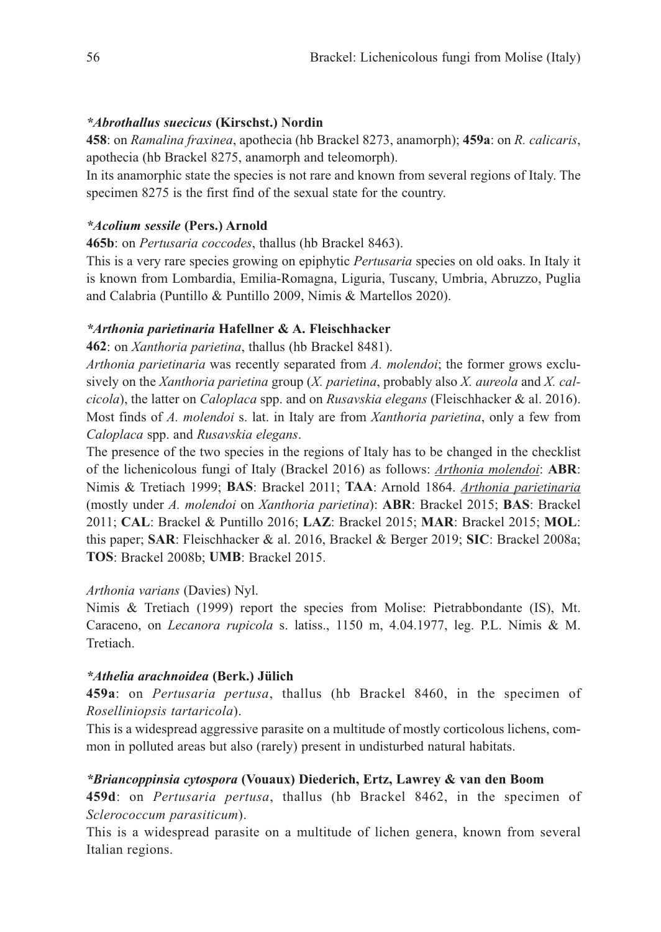#### *\*Abrothallus suecicus* **(Kirschst.) Nordin**

**458**: on *Ramalina fraxinea*, apothecia (hb Brackel 8273, anamorph); **459a**: on *R. calicaris*, apothecia (hb Brackel 8275, anamorph and teleomorph).

In its anamorphic state the species is not rare and known from several regions of Italy. The specimen 8275 is the first find of the sexual state for the country.

#### *\*Acolium sessile* **(Pers.) Arnold**

**465b**: on *Pertusaria coccodes*, thallus (hb Brackel 8463).

This is a very rare species growing on epiphytic *Pertusaria* species on old oaks. In Italy it is known from Lombardia, Emilia-Romagna, Liguria, Tuscany, Umbria, Abruzzo, Puglia and Calabria (Puntillo & Puntillo 2009, Nimis & Martellos 2020).

### *\*Arthonia parietinaria* **Hafellner & A. Fleischhacker**

**462**: on *Xanthoria parietina*, thallus (hb Brackel 8481).

*Arthonia parietinaria* was recently separated from *A. molendoi*; the former grows exclusively on the *Xanthoria parietina* group (*X. parietina*, probably also *X. aureola* and *X. calcicola*), the latter on *Caloplaca* spp. and on *Rusavskia elegans* (Fleischhacker & al. 2016). Most finds of *A. molendoi* s. lat. in Italy are from *Xanthoria parietina*, only a few from *Caloplaca* spp. and *Rusavskia elegans*.

The presence of the two species in the regions of Italy has to be changed in the checklist of the lichenicolous fungi of Italy (Brackel 2016) as follows: *Arthonia molendoi*: **ABR**: Nimis & Tretiach 1999; **BAS**: Brackel 2011; **TAA**: Arnold 1864. *Arthonia parietinaria* (mostly under *A. molendoi* on *Xanthoria parietina*): **ABR**: Brackel 2015; **BAS**: Brackel 2011; **CAL**: Brackel & Puntillo 2016; **LAZ**: Brackel 2015; **MAR**: Brackel 2015; **MOL**: this paper; **SAR**: Fleischhacker & al. 2016, Brackel & Berger 2019; **SIC**: Brackel 2008a; **TOS**: Brackel 2008b; **UMB**: Brackel 2015.

#### *Arthonia varians* (Davies) Nyl.

Nimis & Tretiach (1999) report the species from Molise: Pietrabbondante (IS), Mt. Caraceno, on *Lecanora rupicola* s. latiss., 1150 m, 4.04.1977, leg. P.L. Nimis & M. Tretiach.

#### *\*Athelia arachnoidea* **(Berk.) Jülich**

**459a**: on *Pertusaria pertusa*, thallus (hb Brackel 8460, in the specimen of *Roselliniopsis tartaricola*).

This is a widespread aggressive parasite on a multitude of mostly corticolous lichens, common in polluted areas but also (rarely) present in undisturbed natural habitats.

#### *\*Briancoppinsia cytospora* **(Vouaux) Diederich, Ertz, Lawrey & van den Boom**

**459d**: on *Pertusaria pertusa*, thallus (hb Brackel 8462, in the specimen of *Sclerococcum parasiticum*).

This is a widespread parasite on a multitude of lichen genera, known from several Italian regions.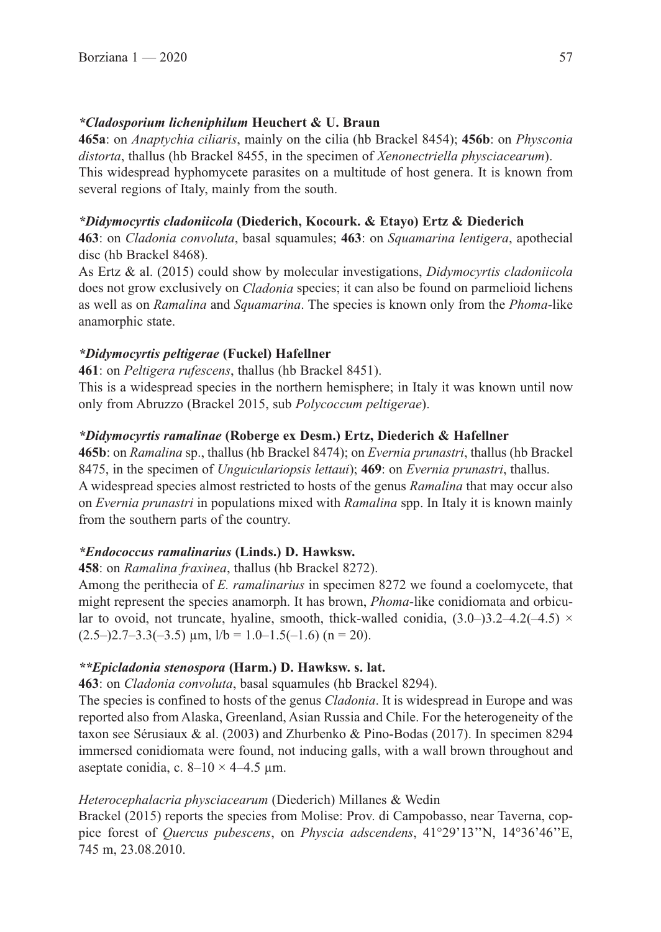### *\*Cladosporium licheniphilum* **Heuchert & U. Braun**

**465a**: on *Anaptychia ciliaris*, mainly on the cilia (hb Brackel 8454); **456b**: on *Physconia distorta*, thallus (hb Brackel 8455, in the specimen of *Xenonectriella physciacearum*). This widespread hyphomycete parasites on a multitude of host genera. It is known from several regions of Italy, mainly from the south.

### *\*Didymocyrtis cladoniicola* **(Diederich, Kocourk. & Etayo) Ertz & Diederich**

**463**: on *Cladonia convoluta*, basal squamules; **463**: on *Squamarina lentigera*, apothecial disc (hb Brackel 8468).

As Ertz & al. (2015) could show by molecular investigations, *Didymocyrtis cladoniicola* does not grow exclusively on *Cladonia* species; it can also be found on parmelioid lichens as well as on *Ramalina* and *Squamarina*. The species is known only from the *Phoma*-like anamorphic state.

### *\*Didymocyrtis peltigerae* **(Fuckel) Hafellner**

**461**: on *Peltigera rufescens*, thallus (hb Brackel 8451).

This is a widespread species in the northern hemisphere; in Italy it was known until now only from Abruzzo (Brackel 2015, sub *Polycoccum peltigerae*).

### *\*Didymocyrtis ramalinae* **(Roberge ex Desm.) Ertz, Diederich & Hafellner**

**465b**: on *Ramalina* sp., thallus (hb Brackel 8474); on *Evernia prunastri*, thallus (hb Brackel 8475, in the specimen of *Unguiculariopsis lettaui*); **469**: on *Evernia prunastri*, thallus. A widespread species almost restricted to hosts of the genus *Ramalina* that may occur also on *Evernia prunastri* in populations mixed with *Ramalina* spp. In Italy it is known mainly from the southern parts of the country.

## *\*Endococcus ramalinarius* **(Linds.) D. Hawksw.**

**458**: on *Ramalina fraxinea*, thallus (hb Brackel 8272).

Among the perithecia of *E. ramalinarius* in specimen 8272 we found a coelomycete, that might represent the species anamorph. It has brown, *Phoma*-like conidiomata and orbicular to ovoid, not truncate, hyaline, smooth, thick-walled conidia,  $(3.0-)3.2-4.2(-4.5)$  ×  $(2.5-)2.7-3.3(-3.5)$  µm,  $1/b = 1.0-1.5(-1.6)$  (n = 20).

## *\*\*Epicladonia stenospora* **(Harm.) D. Hawksw. s. lat.**

**463**: on *Cladonia convoluta*, basal squamules (hb Brackel 8294).

The species is confined to hosts of the genus *Cladonia*. It is widespread in Europe and was reported also from Alaska, Greenland, Asian Russia and Chile. For the heterogeneity of the taxon see Sérusiaux & al. (2003) and Zhurbenko & Pino-Bodas (2017). In specimen 8294 immersed conidiomata were found, not inducing galls, with a wall brown throughout and aseptate conidia, c.  $8-10 \times 4-4.5 \text{ }\mu\text{m}$ .

## *Heterocephalacria physciacearum* (Diederich) Millanes & Wedin

Brackel (2015) reports the species from Molise: Prov. di Campobasso, near Taverna, coppice forest of *Quercus pubescens*, on *Physcia adscendens*, 41°29'13''N, 14°36'46''E, 745 m, 23.08.2010.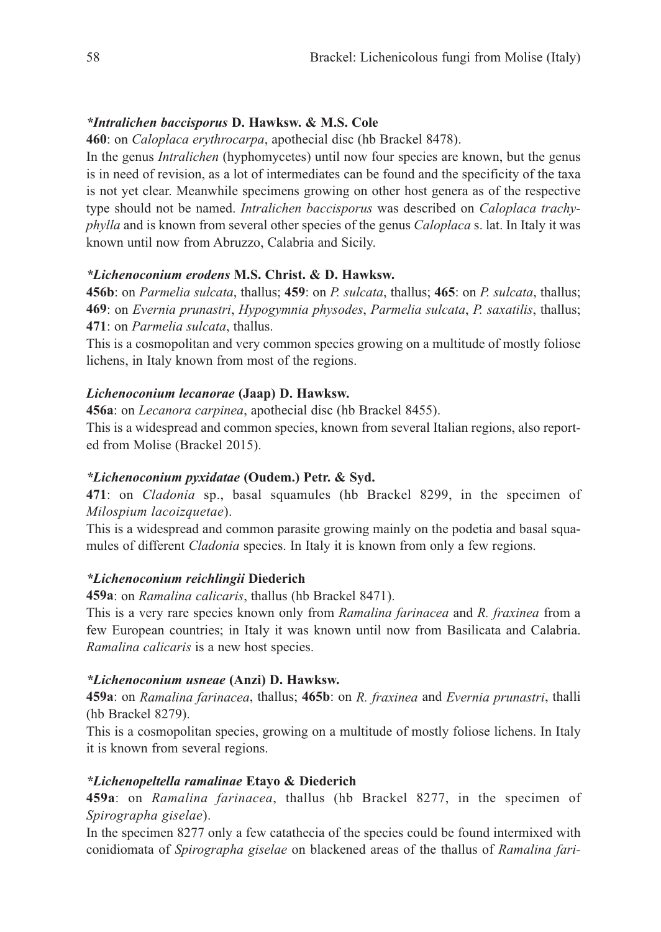#### *\*Intralichen baccisporus* **D. Hawksw. & M.S. Cole**

**460**: on *Caloplaca erythrocarpa*, apothecial disc (hb Brackel 8478).

In the genus *Intralichen* (hyphomycetes) until now four species are known, but the genus is in need of revision, as a lot of intermediates can be found and the specificity of the taxa is not yet clear. Meanwhile specimens growing on other host genera as of the respective type should not be named. *Intralichen baccisporus* was described on *Caloplaca trachyphylla* and is known from several other species of the genus *Caloplaca* s. lat. In Italy it was known until now from Abruzzo, Calabria and Sicily.

### *\*Lichenoconium erodens* **M.S. Christ. & D. Hawksw.**

**456b**: on *Parmelia sulcata*, thallus; **459**: on *P. sulcata*, thallus; **465**: on *P. sulcata*, thallus; **469**: on *Evernia prunastri*, *Hypogymnia physodes*, *Parmelia sulcata*, *P. saxatilis*, thallus; **471**: on *Parmelia sulcata*, thallus.

This is a cosmopolitan and very common species growing on a multitude of mostly foliose lichens, in Italy known from most of the regions.

#### *Lichenoconium lecanorae* **(Jaap) D. Hawksw.**

**456a**: on *Lecanora carpinea*, apothecial disc (hb Brackel 8455).

This is a widespread and common species, known from several Italian regions, also reported from Molise (Brackel 2015).

#### *\*Lichenoconium pyxidatae* **(Oudem.) Petr. & Syd.**

**471**: on *Cladonia* sp., basal squamules (hb Brackel 8299, in the specimen of *Milospium lacoizquetae*).

This is a widespread and common parasite growing mainly on the podetia and basal squamules of different *Cladonia* species. In Italy it is known from only a few regions.

#### *\*Lichenoconium reichlingii* **Diederich**

**459a**: on *Ramalina calicaris*, thallus (hb Brackel 8471).

This is a very rare species known only from *Ramalina farinacea* and *R. fraxinea* from a few European countries; in Italy it was known until now from Basilicata and Calabria. *Ramalina calicaris* is a new host species.

## *\*Lichenoconium usneae* **(Anzi) D. Hawksw.**

**459a**: on *Ramalina farinacea*, thallus; **465b**: on *R. fraxinea* and *Evernia prunastri*, thalli (hb Brackel 8279).

This is a cosmopolitan species, growing on a multitude of mostly foliose lichens. In Italy it is known from several regions.

## *\*Lichenopeltella ramalinae* **Etayo & Diederich**

**459a**: on *Ramalina farinacea*, thallus (hb Brackel 8277, in the specimen of *Spirographa giselae*).

In the specimen 8277 only a few catathecia of the species could be found intermixed with conidiomata of *Spirographa giselae* on blackened areas of the thallus of *Ramalina fari-*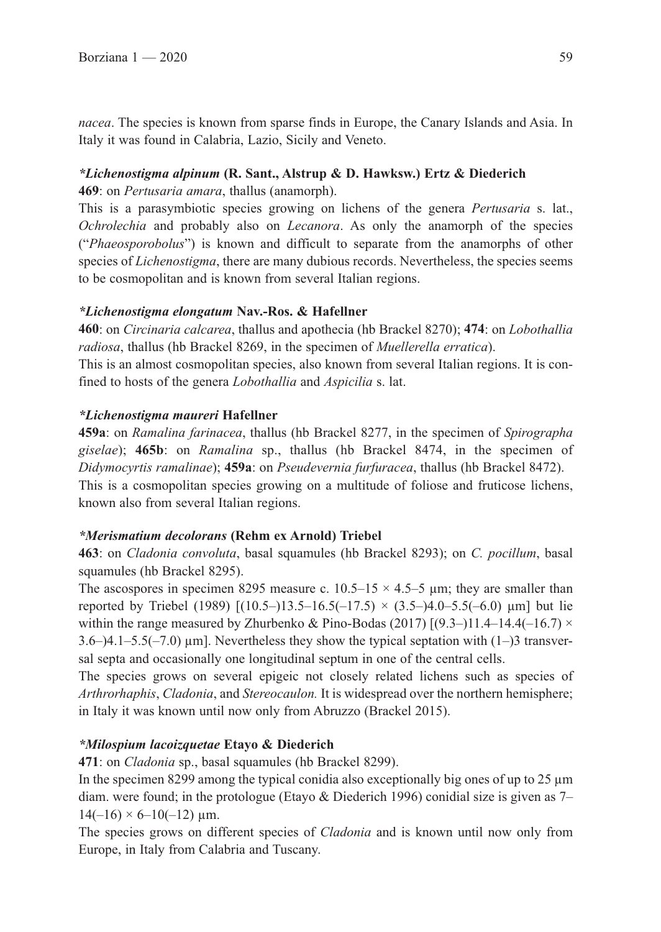*nacea*. The species is known from sparse finds in Europe, the Canary Islands and Asia. In Italy it was found in Calabria, Lazio, Sicily and Veneto.

## *\*Lichenostigma alpinum* **(R. Sant., Alstrup & D. Hawksw.) Ertz & Diederich**

**469**: on *Pertusaria amara*, thallus (anamorph).

This is a parasymbiotic species growing on lichens of the genera *Pertusaria* s. lat., *Ochrolechia* and probably also on *Lecanora*. As only the anamorph of the species ("*Phaeosporobolus*") is known and difficult to separate from the anamorphs of other species of *Lichenostigma*, there are many dubious records. Nevertheless, the species seems to be cosmopolitan and is known from several Italian regions.

## *\*Lichenostigma elongatum* **Nav.-Ros. & Hafellner**

**460**: on *Circinaria calcarea*, thallus and apothecia (hb Brackel 8270); **474**: on *Lobothallia radiosa*, thallus (hb Brackel 8269, in the specimen of *Muellerella erratica*).

This is an almost cosmopolitan species, also known from several Italian regions. It is confined to hosts of the genera *Lobothallia* and *Aspicilia* s. lat.

## *\*Lichenostigma maureri* **Hafellner**

**459a**: on *Ramalina farinacea*, thallus (hb Brackel 8277, in the specimen of *Spirographa giselae*); **465b**: on *Ramalina* sp., thallus (hb Brackel 8474, in the specimen of *Didymocyrtis ramalinae*); **459a**: on *Pseudevernia furfuracea*, thallus (hb Brackel 8472). This is a cosmopolitan species growing on a multitude of foliose and fruticose lichens, known also from several Italian regions.

## *\*Merismatium decolorans* **(Rehm ex Arnold) Triebel**

**463**: on *Cladonia convoluta*, basal squamules (hb Brackel 8293); on *C. pocillum*, basal squamules (hb Brackel 8295).

The ascospores in specimen 8295 measure c.  $10.5-15 \times 4.5-5$  µm; they are smaller than reported by Triebel (1989)  $[(10.5-)13.5-16.5(-17.5) \times (3.5-)4.0-5.5(-6.0) \mu m]$  but lie within the range measured by Zhurbenko & Pino-Bodas (2017)  $[(9.3-)11.4-14.4(-16.7) \times$  $3.6-$ ) $4.1-5.5(-7.0)$  µm]. Nevertheless they show the typical septation with  $(1-)3$  transversal septa and occasionally one longitudinal septum in one of the central cells.

The species grows on several epigeic not closely related lichens such as species of *Arthrorhaphis*, *Cladonia*, and *Stereocaulon.* It is widespread over the northern hemisphere; in Italy it was known until now only from Abruzzo (Brackel 2015).

# *\*Milospium lacoizquetae* **Etayo & Diederich**

**471**: on *Cladonia* sp., basal squamules (hb Brackel 8299).

In the specimen 8299 among the typical conidia also exceptionally big ones of up to 25  $\mu$ m diam. were found; in the protologue (Etayo & Diederich 1996) conidial size is given as 7–  $14(-16) \times 6 - 10(-12)$  µm.

The species grows on different species of *Cladonia* and is known until now only from Europe, in Italy from Calabria and Tuscany.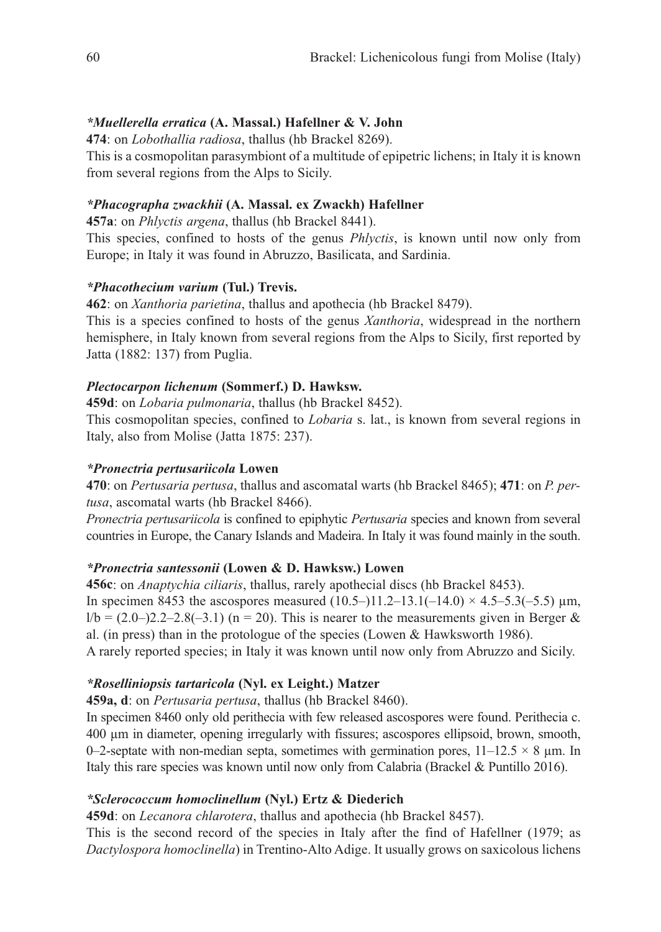### *\*Muellerella erratica* **(A. Massal.) Hafellner & V. John**

**474**: on *Lobothallia radiosa*, thallus (hb Brackel 8269).

This is a cosmopolitan parasymbiont of a multitude of epipetric lichens; in Italy it is known from several regions from the Alps to Sicily.

### *\*Phacographa zwackhii* **(A. Massal. ex Zwackh) Hafellner**

**457a**: on *Phlyctis argena*, thallus (hb Brackel 8441).

This species, confined to hosts of the genus *Phlyctis*, is known until now only from Europe; in Italy it was found in Abruzzo, Basilicata, and Sardinia.

### *\*Phacothecium varium* **(Tul.) Trevis.**

**462**: on *Xanthoria parietina*, thallus and apothecia (hb Brackel 8479).

This is a species confined to hosts of the genus *Xanthoria*, widespread in the northern hemisphere, in Italy known from several regions from the Alps to Sicily, first reported by Jatta (1882: 137) from Puglia.

### *Plectocarpon lichenum* **(Sommerf.) D. Hawksw.**

**459d**: on *Lobaria pulmonaria*, thallus (hb Brackel 8452).

This cosmopolitan species, confined to *Lobaria* s. lat., is known from several regions in Italy, also from Molise (Jatta 1875: 237).

#### *\*Pronectria pertusariicola* **Lowen**

**470**: on *Pertusaria pertusa*, thallus and ascomatal warts (hb Brackel 8465); **471**: on *P. pertusa*, ascomatal warts (hb Brackel 8466).

*Pronectria pertusariicola* is confined to epiphytic *Pertusaria* species and known from several countries in Europe, the Canary Islands and Madeira. In Italy it was found mainly in the south.

## *\*Pronectria santessonii* **(Lowen & D. Hawksw.) Lowen**

**456c**: on *Anaptychia ciliaris*, thallus, rarely apothecial discs (hb Brackel 8453). In specimen 8453 the ascospores measured  $(10.5-)11.2-13.1(-14.0) \times 4.5-5.3(-5.5) \mu m$ ,  $1/b = (2.0-)2.2-2.8(-3.1)$  (n = 20). This is nearer to the measurements given in Berger & al. (in press) than in the protologue of the species (Lowen & Hawksworth 1986). A rarely reported species; in Italy it was known until now only from Abruzzo and Sicily.

## *\*Roselliniopsis tartaricola* **(Nyl. ex Leight.) Matzer**

**459a, d**: on *Pertusaria pertusa*, thallus (hb Brackel 8460).

In specimen 8460 only old perithecia with few released ascospores were found. Perithecia c. 400 µm in diameter, opening irregularly with fissures; ascospores ellipsoid, brown, smooth, 0–2-septate with non-median septa, sometimes with germination pores,  $11-12.5 \times 8$  µm. In Italy this rare species was known until now only from Calabria (Brackel & Puntillo 2016).

## *\*Sclerococcum homoclinellum* **(Nyl.) Ertz & Diederich**

**459d**: on *Lecanora chlarotera*, thallus and apothecia (hb Brackel 8457).

This is the second record of the species in Italy after the find of Hafellner (1979; as *Dactylospora homoclinella*) in Trentino-Alto Adige. It usually grows on saxicolous lichens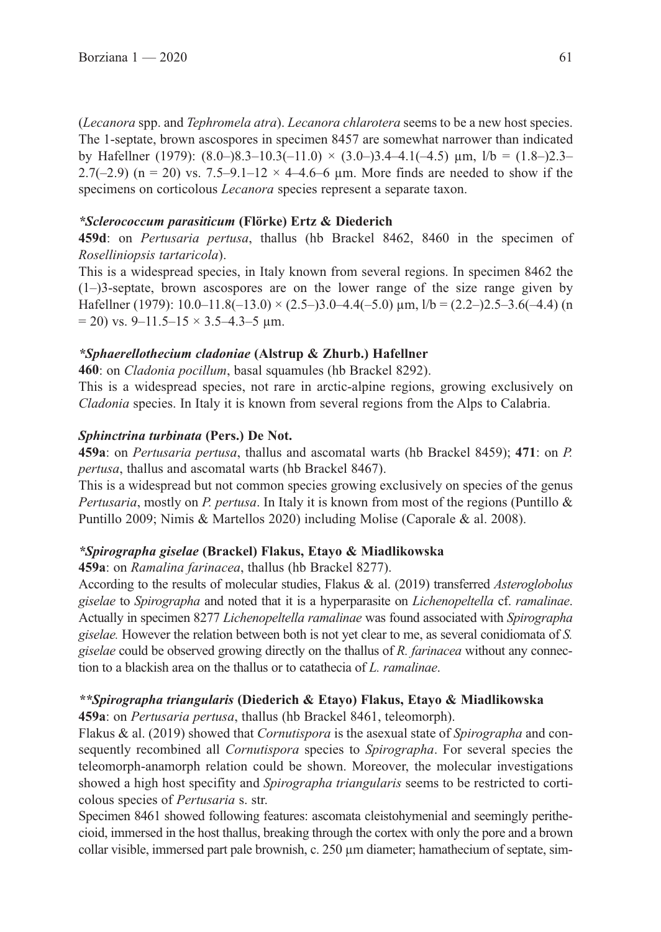(*Lecanora* spp. and *Tephromela atra*). *Lecanora chlarotera* seems to be a new host species. The 1-septate, brown ascospores in specimen 8457 are somewhat narrower than indicated by Hafellner (1979):  $(8.0-)8.3-10.3(-11.0) \times (3.0-)3.4-4.1(-4.5) \text{ µm}, \text{ l/b} = (1.8-)2.3-$ 2.7(-2.9) (n = 20) vs. 7.5–9.1–12  $\times$  4–4.6–6 um. More finds are needed to show if the specimens on corticolous *Lecanora* species represent a separate taxon.

### *\*Sclerococcum parasiticum* **(Flörke) Ertz & Diederich**

**459d**: on *Pertusaria pertusa*, thallus (hb Brackel 8462, 8460 in the specimen of *Roselliniopsis tartaricola*).

This is a widespread species, in Italy known from several regions. In specimen 8462 the (1–)3-septate, brown ascospores are on the lower range of the size range given by Hafellner (1979): 10.0–11.8(-13.0) × (2.5–)3.0–4.4(-5.0)  $\mu$ m, l/b = (2.2–)2.5–3.6(-4.4) (n  $= 20$ ) vs. 9–11.5–15  $\times$  3.5–4.3–5 µm.

### *\*Sphaerellothecium cladoniae* **(Alstrup & Zhurb.) Hafellner**

**460**: on *Cladonia pocillum*, basal squamules (hb Brackel 8292).

This is a widespread species, not rare in arctic-alpine regions, growing exclusively on *Cladonia* species. In Italy it is known from several regions from the Alps to Calabria.

### *Sphinctrina turbinata* **(Pers.) De Not.**

**459a**: on *Pertusaria pertusa*, thallus and ascomatal warts (hb Brackel 8459); **471**: on *P. pertusa*, thallus and ascomatal warts (hb Brackel 8467).

This is a widespread but not common species growing exclusively on species of the genus *Pertusaria*, mostly on *P. pertusa*. In Italy it is known from most of the regions (Puntillo & Puntillo 2009; Nimis & Martellos 2020) including Molise (Caporale & al. 2008).

#### *\*Spirographa giselae* **(Brackel) Flakus, Etayo & Miadlikowska**

**459a**: on *Ramalina farinacea*, thallus (hb Brackel 8277).

According to the results of molecular studies, Flakus & al. (2019) transferred *Asteroglobolus giselae* to *Spirographa* and noted that it is a hyperparasite on *Lichenopeltella* cf. *ramalinae*. Actually in specimen 8277 *Lichenopeltella ramalinae* was found associated with *Spirographa giselae.* However the relation between both is not yet clear to me, as several conidiomata of *S. giselae* could be observed growing directly on the thallus of *R. farinacea* without any connection to a blackish area on the thallus or to catathecia of *L. ramalinae*.

## *\*\*Spirographa triangularis* **(Diederich & Etayo) Flakus, Etayo & Miadlikowska**

**459a**: on *Pertusaria pertusa*, thallus (hb Brackel 8461, teleomorph).

Flakus & al. (2019) showed that *Cornutispora* is the asexual state of *Spirographa* and consequently recombined all *Cornutispora* species to *Spirographa*. For several species the teleomorph-anamorph relation could be shown. Moreover, the molecular investigations showed a high host specifity and *Spirographa triangularis* seems to be restricted to corticolous species of *Pertusaria* s. str.

Specimen 8461 showed following features: ascomata cleistohymenial and seemingly perithecioid, immersed in the host thallus, breaking through the cortex with only the pore and a brown collar visible, immersed part pale brownish, c.  $250 \mu m$  diameter; hamathecium of septate, sim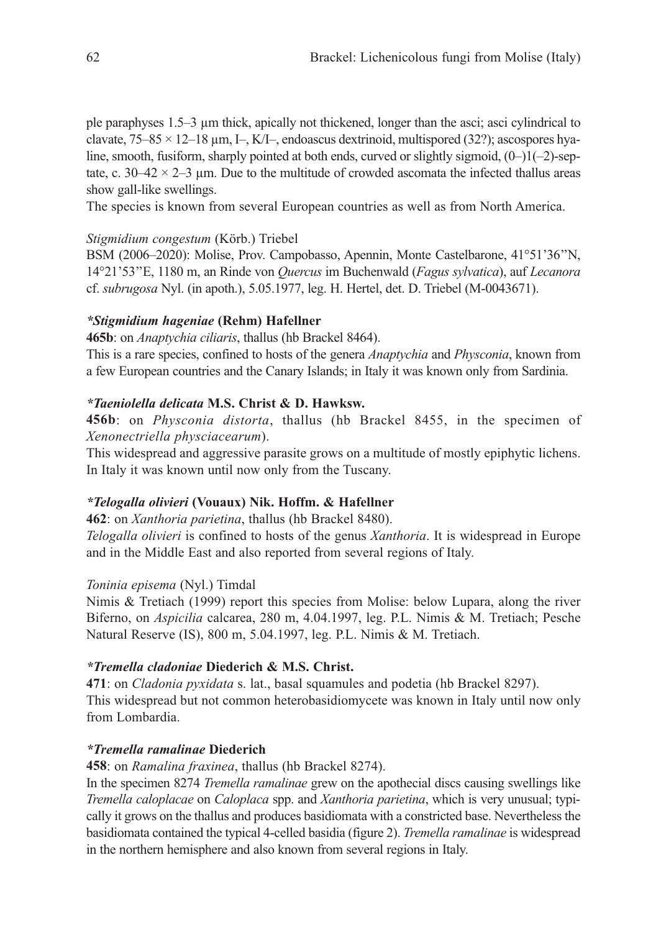ple paraphyses 1.5–3 µm thick, apically not thickened, longer than the asci; asci cylindrical to clavate,  $75-85 \times 12-18$  µm, I-, K/I-, endoascus dextrinoid, multispored (32?); ascospores hyaline, smooth, fusiform, sharply pointed at both ends, curved or slightly sigmoid,  $(0-1)(-2)$ -septate, c.  $30-42 \times 2-3$  µm. Due to the multitude of crowded ascomata the infected thallus areas show gall-like swellings.

The species is known from several European countries as well as from North America.

### *Stigmidium congestum* (Körb.) Triebel

BSM (2006–2020): Molise, Prov. Campobasso, Apennin, Monte Castelbarone, 41°51'36''N, 14°21'53''E, 1180 m, an Rinde von *Quercus* im Buchenwald (*Fagus sylvatica*), auf *Lecanora* cf. *subrugosa* Nyl. (in apoth.), 5.05.1977, leg. H. Hertel, det. D. Triebel (M-0043671).

### *\*Stigmidium hageniae* **(Rehm) Hafellner**

**465b**: on *Anaptychia ciliaris*, thallus (hb Brackel 8464).

This is a rare species, confined to hosts of the genera *Anaptychia* and *Physconia*, known from a few European countries and the Canary Islands; in Italy it was known only from Sardinia.

## *\*Taeniolella delicata* **M.S. Christ & D. Hawksw.**

**456b**: on *Physconia distorta*, thallus (hb Brackel 8455, in the specimen of *Xenonectriella physciacearum*).

This widespread and aggressive parasite grows on a multitude of mostly epiphytic lichens. In Italy it was known until now only from the Tuscany.

#### *\*Telogalla olivieri* **(Vouaux) Nik. Hoffm. & Hafellner**

**462**: on *Xanthoria parietina*, thallus (hb Brackel 8480).

*Telogalla olivieri* is confined to hosts of the genus *Xanthoria*. It is widespread in Europe and in the Middle East and also reported from several regions of Italy.

#### *Toninia episema* (Nyl.) Timdal

Nimis & Tretiach (1999) report this species from Molise: below Lupara, along the river Biferno, on *Aspicilia* calcarea, 280 m, 4.04.1997, leg. P.L. Nimis & M. Tretiach; Pesche Natural Reserve (IS), 800 m, 5.04.1997, leg. P.L. Nimis & M. Tretiach.

#### *\*Tremella cladoniae* **Diederich & M.S. Christ.**

**471**: on *Cladonia pyxidata* s. lat., basal squamules and podetia (hb Brackel 8297). This widespread but not common heterobasidiomycete was known in Italy until now only from Lombardia.

#### *\*Tremella ramalinae* **Diederich**

**458**: on *Ramalina fraxinea*, thallus (hb Brackel 8274).

In the specimen 8274 *Tremella ramalinae* grew on the apothecial discs causing swellings like *Tremella caloplacae* on *Caloplaca* spp. and *Xanthoria parietina*, which is very unusual; typically it grows on the thallus and produces basidiomata with a constricted base. Nevertheless the basidiomata contained the typical 4-celled basidia (figure 2). *Tremella ramalinae* is widespread in the northern hemisphere and also known from several regions in Italy.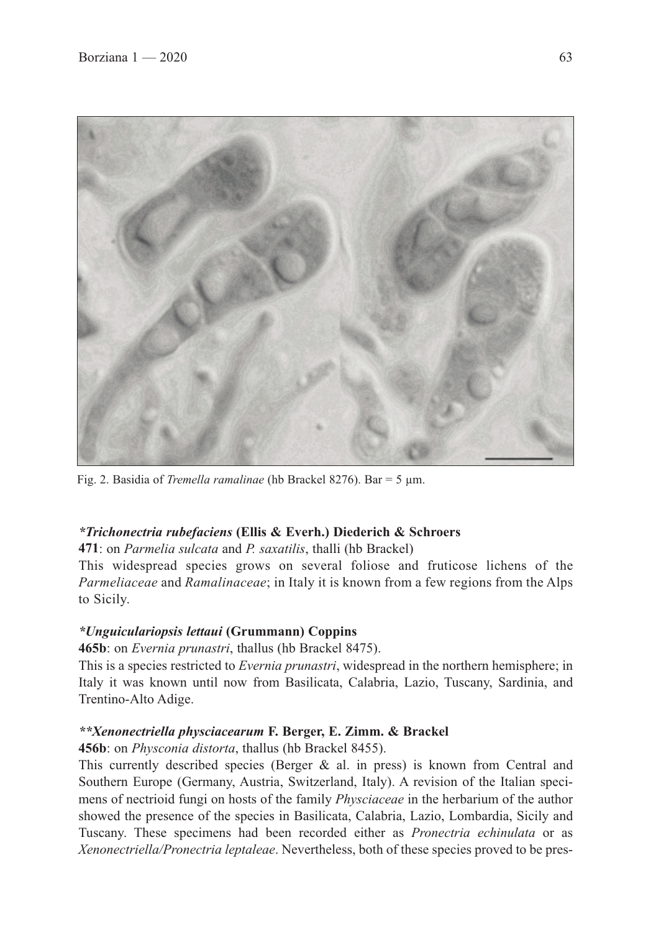

Fig. 2. Basidia of *Tremella ramalinae* (hb Brackel 8276). Bar = 5 µm.

## *\*Trichonectria rubefaciens* **(Ellis & Everh.) Diederich & Schroers**

**471**: on *Parmelia sulcata* and *P. saxatilis*, thalli (hb Brackel)

This widespread species grows on several foliose and fruticose lichens of the *Parmeliaceae* and *Ramalinaceae*; in Italy it is known from a few regions from the Alps to Sicily.

## *\*Unguiculariopsis lettaui* **(Grummann) Coppins**

**465b**: on *Evernia prunastri*, thallus (hb Brackel 8475).

This is a species restricted to *Evernia prunastri*, widespread in the northern hemisphere; in Italy it was known until now from Basilicata, Calabria, Lazio, Tuscany, Sardinia, and Trentino-Alto Adige.

## *\*\*Xenonectriella physciacearum* **F. Berger, E. Zimm. & Brackel**

**456b**: on *Physconia distorta*, thallus (hb Brackel 8455).

This currently described species (Berger  $\&$  al. in press) is known from Central and Southern Europe (Germany, Austria, Switzerland, Italy). A revision of the Italian specimens of nectrioid fungi on hosts of the family *Physciaceae* in the herbarium of the author showed the presence of the species in Basilicata, Calabria, Lazio, Lombardia, Sicily and Tuscany. These specimens had been recorded either as *Pronectria echinulata* or as *Xenonectriella/Pronectria leptaleae*. Nevertheless, both of these species proved to be pres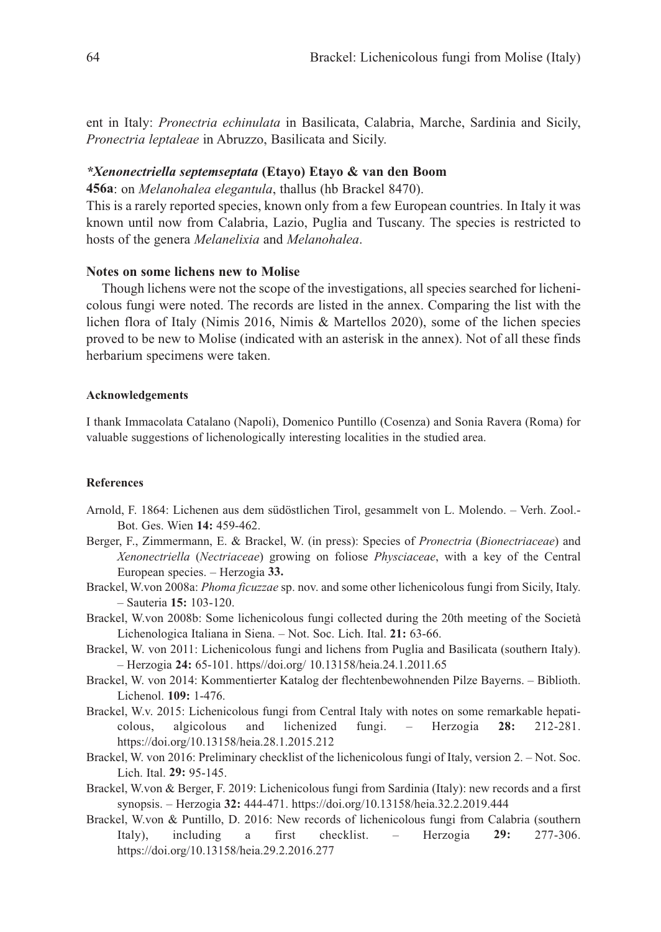ent in Italy: *Pronectria echinulata* in Basilicata, Calabria, Marche, Sardinia and Sicily, *Pronectria leptaleae* in Abruzzo, Basilicata and Sicily.

#### *\*Xenonectriella septemseptata* **(Etayo) Etayo & van den Boom**

**456a**: on *Melanohalea elegantula*, thallus (hb Brackel 8470).

This is a rarely reported species, known only from a few European countries. In Italy it was known until now from Calabria, Lazio, Puglia and Tuscany. The species is restricted to hosts of the genera *Melanelixia* and *Melanohalea*.

#### **Notes on some lichens new to Molise**

Though lichens were not the scope of the investigations, all species searched for lichenicolous fungi were noted. The records are listed in the annex. Comparing the list with the lichen flora of Italy (Nimis 2016, Nimis & Martellos 2020), some of the lichen species proved to be new to Molise (indicated with an asterisk in the annex). Not of all these finds herbarium specimens were taken.

#### **Acknowledgements**

I thank Immacolata Catalano (Napoli), Domenico Puntillo (Cosenza) and Sonia Ravera (Roma) for valuable suggestions of lichenologically interesting localities in the studied area.

#### **References**

- Arnold, F. 1864: Lichenen aus dem südöstlichen Tirol, gesammelt von L. Molendo. Verh. Zool.- Bot. Ges. Wien **14:** 459-462.
- Berger, F., Zimmermann, E. & Brackel, W. (in press): Species of *Pronectria* (*Bionectriaceae*) and *Xenonectriella* (*Nectriaceae*) growing on foliose *Physciaceae*, with a key of the Central European species. – Herzogia **33.**
- Brackel, W.von 2008a: *Phoma ficuzzae* sp. nov. and some other lichenicolous fungi from Sicily, Italy. – Sauteria **15:** 103-120.
- Brackel, W.von 2008b: Some lichenicolous fungi collected during the 20th meeting of the Società Lichenologica Italiana in Siena. – Not. Soc. Lich. Ital. **21:** 63-66.
- Brackel, W. von 2011: Lichenicolous fungi and lichens from Puglia and Basilicata (southern Italy). – Herzogia **24:** 65-101. https//doi.org/ 10.13158/heia.24.1.2011.65
- Brackel, W. von 2014: Kommentierter Katalog der flechtenbewohnenden Pilze Bayerns. Biblioth. Lichenol. **109:** 1-476.
- Brackel, W.v. 2015: Lichenicolous fungi from Central Italy with notes on some remarkable hepaticolous, algicolous and lichenized fungi. – Herzogia **28:** 212-281. https://doi.org/10.13158/heia.28.1.2015.212
- Brackel, W. von 2016: Preliminary checklist of the lichenicolous fungi of Italy, version 2. Not. Soc. Lich. Ital. **29:** 95-145.
- Brackel, W.von & Berger, F. 2019: Lichenicolous fungi from Sardinia (Italy): new records and a first synopsis. – Herzogia **32:** 444-471. https://doi.org/10.13158/heia.32.2.2019.444
- Brackel, W.von & Puntillo, D. 2016: New records of lichenicolous fungi from Calabria (southern Italy), including a first checklist. – Herzogia **29:** 277-306. https://doi.org/10.13158/heia.29.2.2016.277